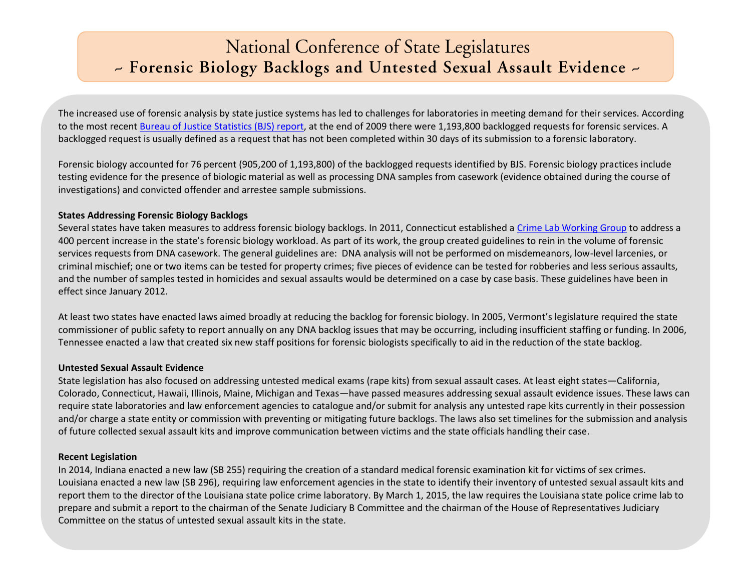# National Conference of State Legislatures - Forensic Biology Backlogs and Untested Sexual Assault Evidence -

The increased use of forensic analysis by state justice systems has led to challenges for laboratories in meeting demand for their services. According to the most recent [Bureau of Justice Statistics \(BJS\) report,](http://www.bjs.gov/content/pub/pdf/cpffcl09.pdf) at the end of 2009 there were 1,193,800 backlogged requests for forensic services. A backlogged request is usually defined as a request that has not been completed within 30 days of its submission to a forensic laboratory.

Forensic biology accounted for 76 percent (905,200 of 1,193,800) of the backlogged requests identified by BJS. Forensic biology practices include testing evidence for the presence of biologic material as well as processing DNA samples from casework (evidence obtained during the course of investigations) and convicted offender and arrestee sample submissions.

#### **States Addressing Forensic Biology Backlogs**

Several states have taken measures to address forensic biology backlogs. In 2011, Connecticut established a [Crime Lab Working Group](http://www.ct.gov/opm/cwp/view.asp?a=2967&Q=484576&opmNav_GID=1797) to address a 400 percent increase in the state's forensic biology workload. As part of its work, the group created guidelines to rein in the volume of forensic services requests from DNA casework. The general guidelines are: DNA analysis will not be performed on misdemeanors, low-level larcenies, or criminal mischief; one or two items can be tested for property crimes; five pieces of evidence can be tested for robberies and less serious assaults, and the number of samples tested in homicides and sexual assaults would be determined on a case by case basis. These guidelines have been in effect since January 2012.

At least two states have enacted laws aimed broadly at reducing the backlog for forensic biology. In 2005, Vermont's legislature required the state commissioner of public safety to report annually on any DNA backlog issues that may be occurring, including insufficient staffing or funding. In 2006, Tennessee enacted a law that created six new staff positions for forensic biologists specifically to aid in the reduction of the state backlog.

## **Untested Sexual Assault Evidence**

State legislation has also focused on addressing untested medical exams (rape kits) from sexual assault cases. At least eight states—California, Colorado, Connecticut, Hawaii, Illinois, Maine, Michigan and Texas—have passed measures addressing sexual assault evidence issues. These laws can require state laboratories and law enforcement agencies to catalogue and/or submit for analysis any untested rape kits currently in their possession and/or charge a state entity or commission with preventing or mitigating future backlogs. The laws also set timelines for the submission and analysis of future collected sexual assault kits and improve communication between victims and the state officials handling their case.

## **Recent Legislation**

In 2014, Indiana enacted a new law (SB 255) requiring the creation of a standard medical forensic examination kit for victims of sex crimes. Louisiana enacted a new law (SB 296), requiring law enforcement agencies in the state to identify their inventory of untested sexual assault kits and report them to the director of the Louisiana state police crime laboratory. By March 1, 2015, the law requires the Louisiana state police crime lab to prepare and submit a report to the chairman of the Senate Judiciary B Committee and the chairman of the House of Representatives Judiciary Committee on the status of untested sexual assault kits in the state.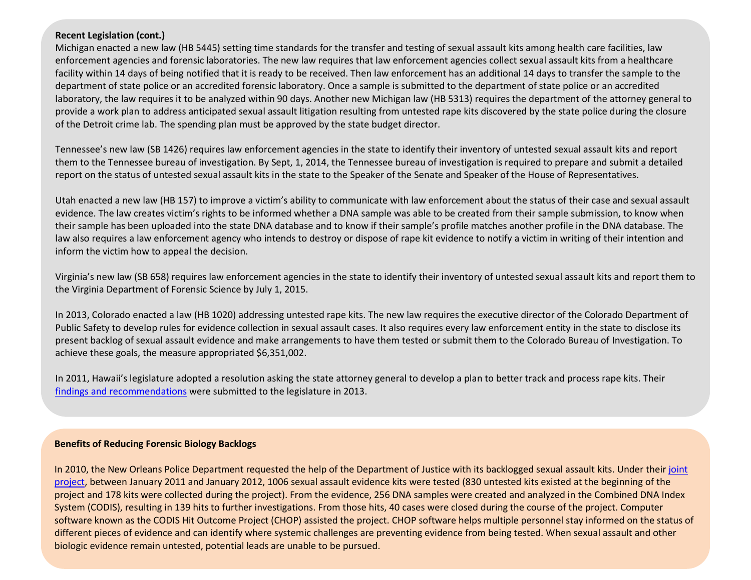#### **Recent Legislation (cont.)**

Michigan enacted a new law (HB 5445) setting time standards for the transfer and testing of sexual assault kits among health care facilities, law enforcement agencies and forensic laboratories. The new law requires that law enforcement agencies collect sexual assault kits from a healthcare facility within 14 days of being notified that it is ready to be received. Then law enforcement has an additional 14 days to transfer the sample to the department of state police or an accredited forensic laboratory. Once a sample is submitted to the department of state police or an accredited laboratory, the law requires it to be analyzed within 90 days. Another new Michigan law (HB 5313) requires the department of the attorney general to provide a work plan to address anticipated sexual assault litigation resulting from untested rape kits discovered by the state police during the closure of the Detroit crime lab. The spending plan must be approved by the state budget director.

Tennessee's new law (SB 1426) requires law enforcement agencies in the state to identify their inventory of untested sexual assault kits and report them to the Tennessee bureau of investigation. By Sept, 1, 2014, the Tennessee bureau of investigation is required to prepare and submit a detailed report on the status of untested sexual assault kits in the state to the Speaker of the Senate and Speaker of the House of Representatives.

Utah enacted a new law (HB 157) to improve a victim's ability to communicate with law enforcement about the status of their case and sexual assault evidence. The law creates victim's rights to be informed whether a DNA sample was able to be created from their sample submission, to know when their sample has been uploaded into the state DNA database and to know if their sample's profile matches another profile in the DNA database. The law also requires a law enforcement agency who intends to destroy or dispose of rape kit evidence to notify a victim in writing of their intention and inform the victim how to appeal the decision.

Virginia's new law (SB 658) requires law enforcement agencies in the state to identify their inventory of untested sexual assault kits and report them to the Virginia Department of Forensic Science by July 1, 2015.

In 2013, Colorado enacted a law (HB 1020) addressing untested rape kits. The new law requires the executive director of the Colorado Department of Public Safety to develop rules for evidence collection in sexual assault cases. It also requires every law enforcement entity in the state to disclose its present backlog of sexual assault evidence and make arrangements to have them tested or submit them to the Colorado Bureau of Investigation. To achieve these goals, the measure appropriated \$6,351,002.

In 2011, Hawaii's legislature adopted a resolution asking the state attorney general to develop a plan to better track and process rape kits. Their [findings and recommendations](http://ag.hawaii.gov/wp-content/uploads/2013/01/Report-on-Efficient-Tracking-Method-for-DNA-Rape-Kits.pdf) were submitted to the legislature in 2013.

#### **Benefits of Reducing Forensic Biology Backlogs**

In 2010, the New Orleans Police Department requested the help of the Department of Justice with its backlogged sexual assault kits. Under their [joint](https://ncjrs.gov/pdffiles1/nij/241926.pdf)  [project,](https://ncjrs.gov/pdffiles1/nij/241926.pdf) between January 2011 and January 2012, 1006 sexual assault evidence kits were tested (830 untested kits existed at the beginning of the project and 178 kits were collected during the project). From the evidence, 256 DNA samples were created and analyzed in the Combined DNA Index System (CODIS), resulting in 139 hits to further investigations. From those hits, 40 cases were closed during the course of the project. Computer software known as the CODIS Hit Outcome Project (CHOP) assisted the project. CHOP software helps multiple personnel stay informed on the status of different pieces of evidence and can identify where systemic challenges are preventing evidence from being tested. When sexual assault and other biologic evidence remain untested, potential leads are unable to be pursued.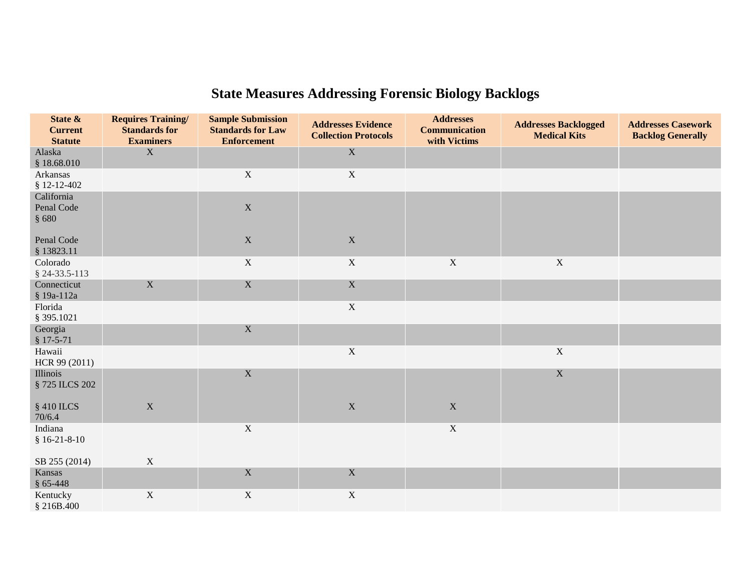| State &<br><b>Current</b><br><b>Statute</b> | <b>Requires Training/</b><br><b>Standards for</b><br><b>Examiners</b> | <b>Sample Submission</b><br><b>Standards for Law</b><br><b>Enforcement</b> | <b>Addresses Evidence</b><br><b>Collection Protocols</b> | <b>Addresses</b><br><b>Communication</b><br>with Victims | <b>Addresses Backlogged</b><br><b>Medical Kits</b> | <b>Addresses Casework</b><br><b>Backlog Generally</b> |
|---------------------------------------------|-----------------------------------------------------------------------|----------------------------------------------------------------------------|----------------------------------------------------------|----------------------------------------------------------|----------------------------------------------------|-------------------------------------------------------|
| Alaska<br>\$18.68.010                       | X                                                                     |                                                                            | $\mathbf X$                                              |                                                          |                                                    |                                                       |
| Arkansas<br>$$12-12-402$                    |                                                                       | $\mathbf X$                                                                | $\mathbf X$                                              |                                                          |                                                    |                                                       |
| California<br>Penal Code<br>§ 680           |                                                                       | $\mathbf X$                                                                |                                                          |                                                          |                                                    |                                                       |
| Penal Code<br>§ 13823.11                    |                                                                       | $\mathbf X$                                                                | $\mathbf X$                                              |                                                          |                                                    |                                                       |
| Colorado<br>\$24-33.5-113                   |                                                                       | $\mathbf X$                                                                | $\mathbf X$                                              | $\mathbf X$                                              | $\mathbf X$                                        |                                                       |
| Connecticut<br>§ 19a-112a                   | $\mathbf X$                                                           | $\mathbf X$                                                                | $\mathbf X$                                              |                                                          |                                                    |                                                       |
| Florida<br>§ 395.1021                       |                                                                       |                                                                            | $\mathbf X$                                              |                                                          |                                                    |                                                       |
| Georgia<br>$$17-5-71$                       |                                                                       | $\mathbf X$                                                                |                                                          |                                                          |                                                    |                                                       |
| Hawaii<br>HCR 99 (2011)                     |                                                                       |                                                                            | $\mathbf X$                                              |                                                          | $\mathbf X$                                        |                                                       |
| Illinois<br>§ 725 ILCS 202                  |                                                                       | $\mathbf X$                                                                |                                                          |                                                          | $\mathbf X$                                        |                                                       |
| § 410 ILCS<br>70/6.4                        | $\mathbf X$                                                           |                                                                            | $\mathbf X$                                              | $\mathbf X$                                              |                                                    |                                                       |
| Indiana<br>$$16-21-8-10$                    |                                                                       | $\mathbf X$                                                                |                                                          | $\mathbf X$                                              |                                                    |                                                       |
| SB 255 (2014)                               | $\mathbf X$                                                           |                                                                            |                                                          |                                                          |                                                    |                                                       |
| Kansas<br>$§$ 65-448                        |                                                                       | $\mathbf X$                                                                | $\mathbf X$                                              |                                                          |                                                    |                                                       |
| Kentucky<br>§ 216B.400                      | $\mathbf X$                                                           | $\mathbf X$                                                                | $\mathbf X$                                              |                                                          |                                                    |                                                       |

# **State Measures Addressing Forensic Biology Backlogs**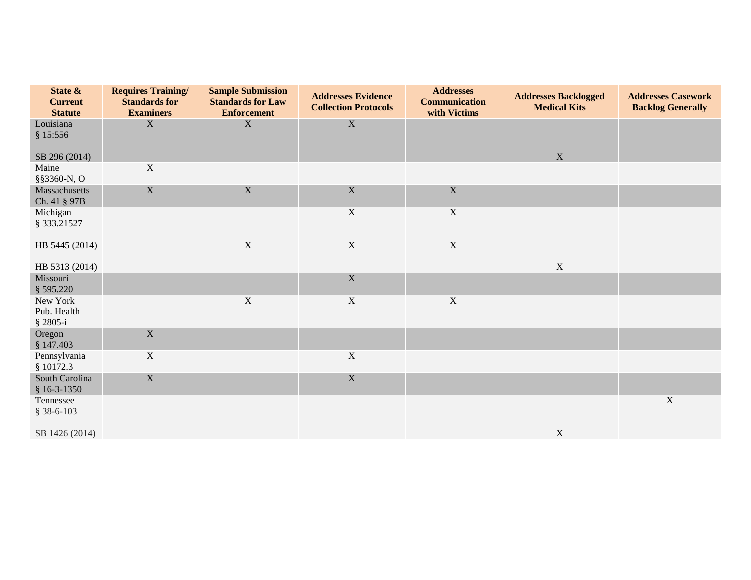| State &<br><b>Current</b><br><b>Statute</b> | <b>Requires Training/</b><br><b>Standards for</b><br><b>Examiners</b> | <b>Sample Submission</b><br><b>Standards for Law</b><br><b>Enforcement</b> | <b>Addresses Evidence</b><br><b>Collection Protocols</b> | <b>Addresses</b><br><b>Communication</b><br>with Victims | <b>Addresses Backlogged</b><br><b>Medical Kits</b> | <b>Addresses Casework</b><br><b>Backlog Generally</b> |
|---------------------------------------------|-----------------------------------------------------------------------|----------------------------------------------------------------------------|----------------------------------------------------------|----------------------------------------------------------|----------------------------------------------------|-------------------------------------------------------|
| Louisiana<br>\$15:556                       | $\mathbf X$                                                           | $\mathbf X$                                                                | $\mathbf X$                                              |                                                          |                                                    |                                                       |
| SB 296 (2014)                               |                                                                       |                                                                            |                                                          |                                                          | $\mathbf X$                                        |                                                       |
| Maine<br>§§3360-N, O                        | $\mathbf X$                                                           |                                                                            |                                                          |                                                          |                                                    |                                                       |
| Massachusetts<br>Ch. 41 § 97B               | $\mathbf X$                                                           | $\mathbf X$                                                                | $\mathbf X$                                              | $\mathbf X$                                              |                                                    |                                                       |
| Michigan<br>§ 333.21527                     |                                                                       |                                                                            | $\mathbf X$                                              | $\mathbf X$                                              |                                                    |                                                       |
| HB 5445 (2014)                              |                                                                       | $\mathbf X$                                                                | $\mathbf X$                                              | $\mathbf X$                                              |                                                    |                                                       |
| HB 5313 (2014)                              |                                                                       |                                                                            |                                                          |                                                          | $\mathbf X$                                        |                                                       |
| Missouri<br>\$595.220                       |                                                                       |                                                                            | $\mathbf X$                                              |                                                          |                                                    |                                                       |
| New York<br>Pub. Health<br>$$2805-i$        |                                                                       | $\mathbf X$                                                                | $\mathbf X$                                              | $\mathbf X$                                              |                                                    |                                                       |
| Oregon<br>\$147.403                         | $\mathbf X$                                                           |                                                                            |                                                          |                                                          |                                                    |                                                       |
| Pennsylvania<br>\$10172.3                   | $\mathbf X$                                                           |                                                                            | $\mathbf X$                                              |                                                          |                                                    |                                                       |
| South Carolina<br>$$16-3-1350$              | $\mathbf X$                                                           |                                                                            | $\mathbf X$                                              |                                                          |                                                    |                                                       |
| Tennessee<br>$$38-6-103$                    |                                                                       |                                                                            |                                                          |                                                          |                                                    | $\mathbf X$                                           |
| SB 1426 (2014)                              |                                                                       |                                                                            |                                                          |                                                          | $\mathbf X$                                        |                                                       |